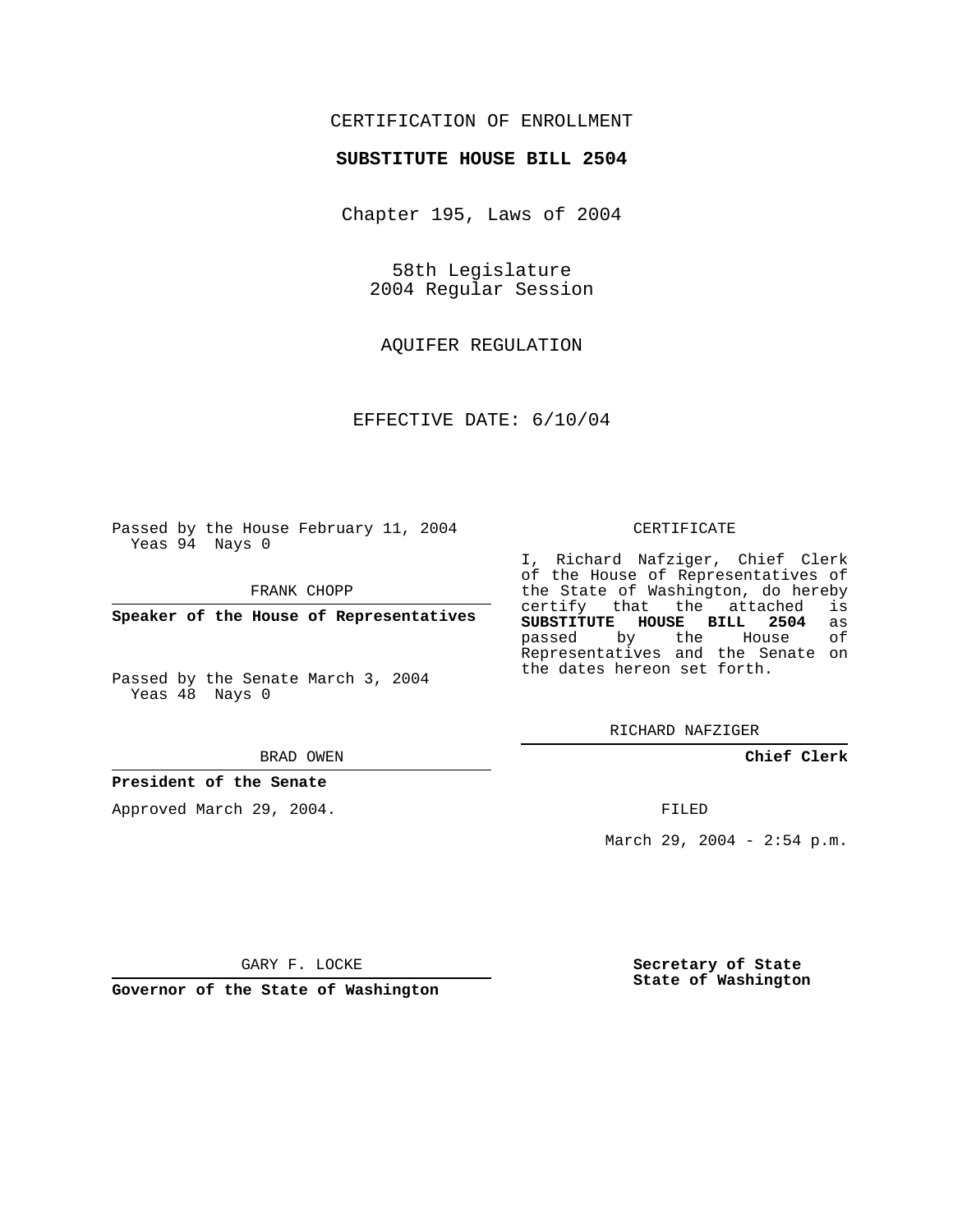## CERTIFICATION OF ENROLLMENT

### **SUBSTITUTE HOUSE BILL 2504**

Chapter 195, Laws of 2004

58th Legislature 2004 Regular Session

AQUIFER REGULATION

EFFECTIVE DATE: 6/10/04

Passed by the House February 11, 2004 Yeas 94 Nays 0

FRANK CHOPP

**Speaker of the House of Representatives**

Passed by the Senate March 3, 2004 Yeas 48 Nays 0

#### BRAD OWEN

### **President of the Senate**

Approved March 29, 2004.

#### CERTIFICATE

I, Richard Nafziger, Chief Clerk of the House of Representatives of the State of Washington, do hereby<br>certify that the attached is certify that the attached **SUBSTITUTE HOUSE BILL 2504** as passed by the House Representatives and the Senate on the dates hereon set forth.

RICHARD NAFZIGER

**Chief Clerk**

FILED

March 29, 2004 - 2:54 p.m.

GARY F. LOCKE

**Governor of the State of Washington**

**Secretary of State State of Washington**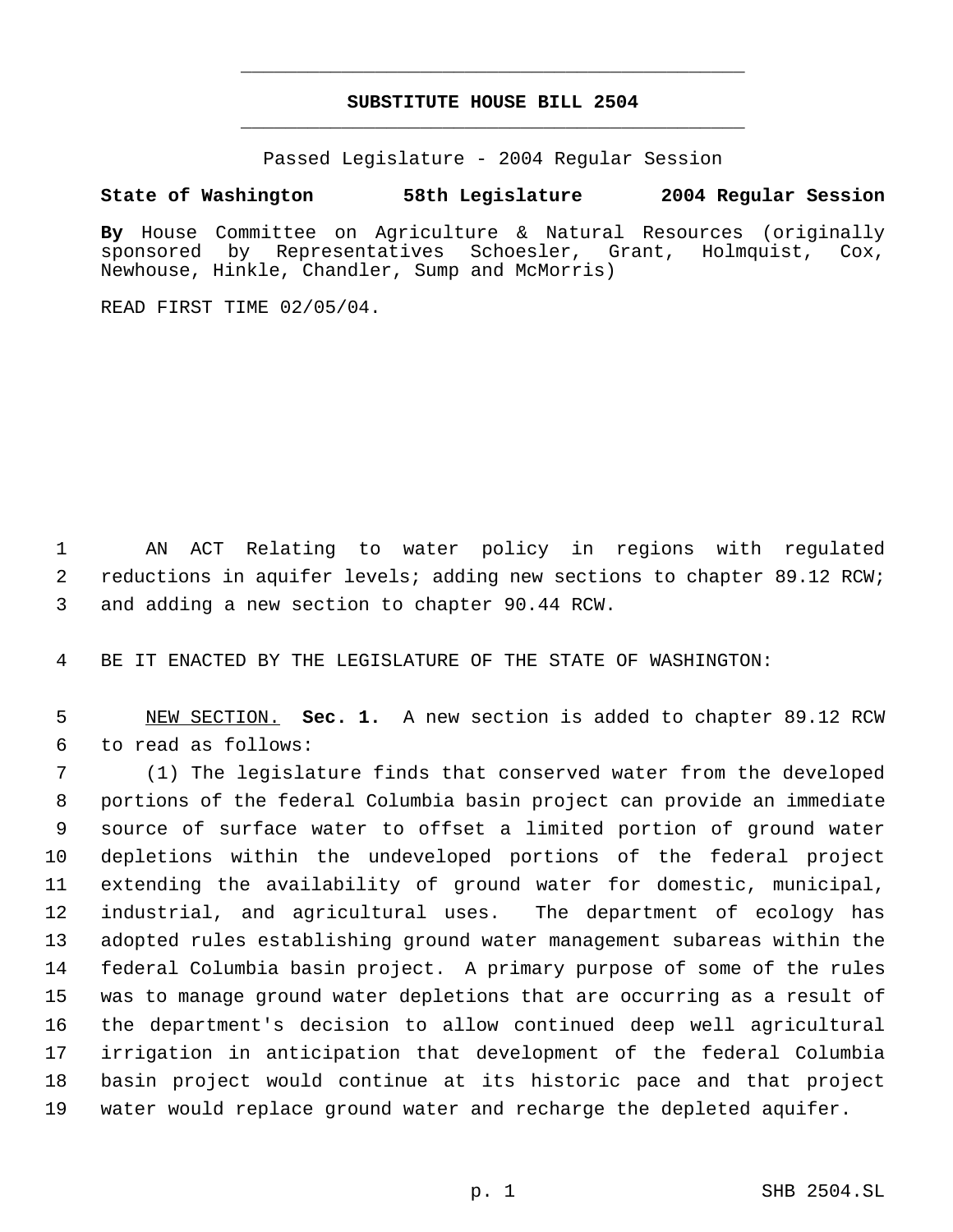# **SUBSTITUTE HOUSE BILL 2504** \_\_\_\_\_\_\_\_\_\_\_\_\_\_\_\_\_\_\_\_\_\_\_\_\_\_\_\_\_\_\_\_\_\_\_\_\_\_\_\_\_\_\_\_\_

\_\_\_\_\_\_\_\_\_\_\_\_\_\_\_\_\_\_\_\_\_\_\_\_\_\_\_\_\_\_\_\_\_\_\_\_\_\_\_\_\_\_\_\_\_

Passed Legislature - 2004 Regular Session

# **State of Washington 58th Legislature 2004 Regular Session**

**By** House Committee on Agriculture & Natural Resources (originally sponsored by Representatives Schoesler, Grant, Holmquist, Cox, Newhouse, Hinkle, Chandler, Sump and McMorris)

READ FIRST TIME 02/05/04.

 AN ACT Relating to water policy in regions with regulated 2 reductions in aquifer levels; adding new sections to chapter 89.12 RCW; and adding a new section to chapter 90.44 RCW.

BE IT ENACTED BY THE LEGISLATURE OF THE STATE OF WASHINGTON:

 NEW SECTION. **Sec. 1.** A new section is added to chapter 89.12 RCW to read as follows:

 (1) The legislature finds that conserved water from the developed portions of the federal Columbia basin project can provide an immediate source of surface water to offset a limited portion of ground water depletions within the undeveloped portions of the federal project extending the availability of ground water for domestic, municipal, industrial, and agricultural uses. The department of ecology has adopted rules establishing ground water management subareas within the federal Columbia basin project. A primary purpose of some of the rules was to manage ground water depletions that are occurring as a result of the department's decision to allow continued deep well agricultural irrigation in anticipation that development of the federal Columbia basin project would continue at its historic pace and that project water would replace ground water and recharge the depleted aquifer.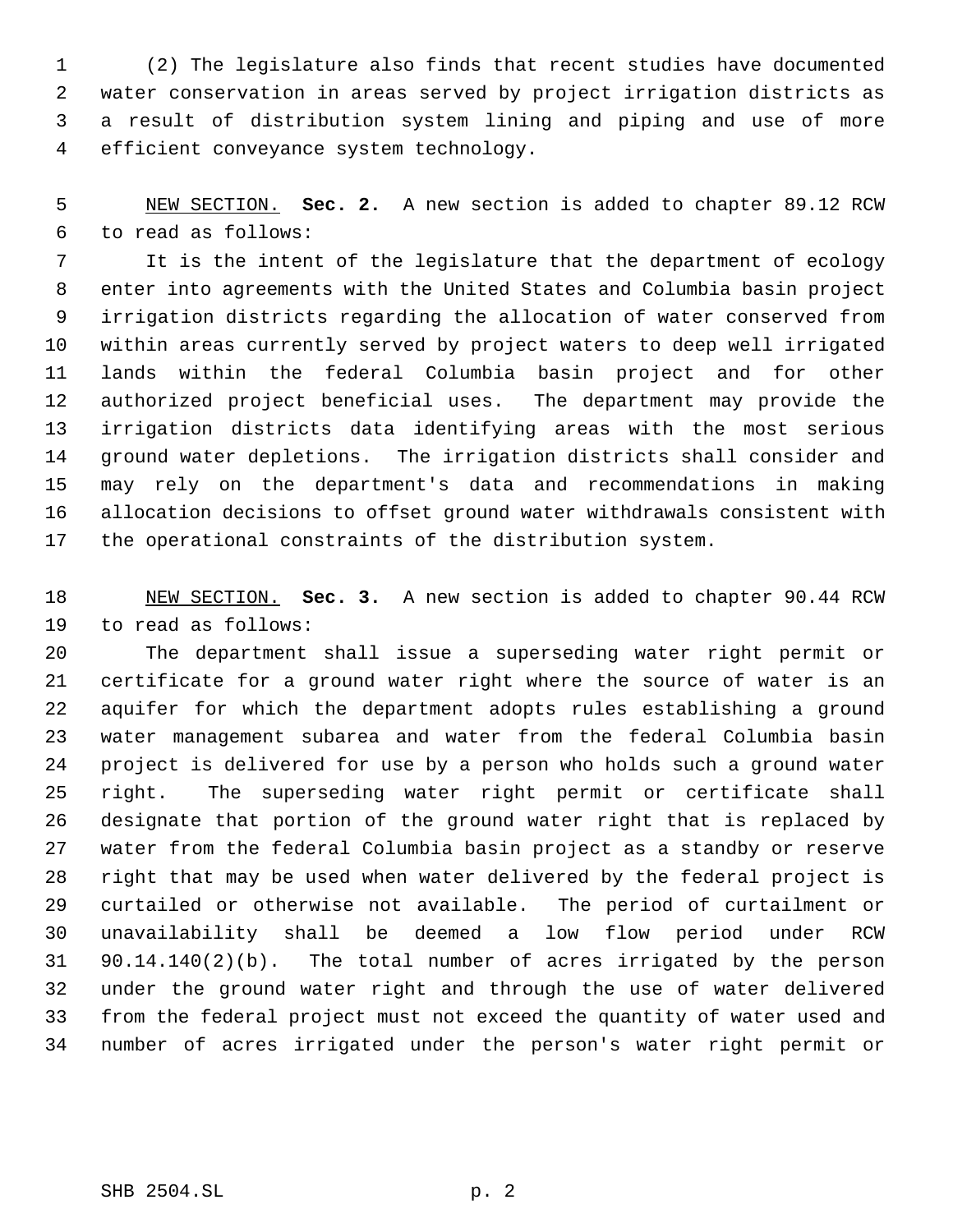(2) The legislature also finds that recent studies have documented water conservation in areas served by project irrigation districts as a result of distribution system lining and piping and use of more efficient conveyance system technology.

 NEW SECTION. **Sec. 2.** A new section is added to chapter 89.12 RCW to read as follows:

 It is the intent of the legislature that the department of ecology enter into agreements with the United States and Columbia basin project irrigation districts regarding the allocation of water conserved from within areas currently served by project waters to deep well irrigated lands within the federal Columbia basin project and for other authorized project beneficial uses. The department may provide the irrigation districts data identifying areas with the most serious ground water depletions. The irrigation districts shall consider and may rely on the department's data and recommendations in making allocation decisions to offset ground water withdrawals consistent with the operational constraints of the distribution system.

 NEW SECTION. **Sec. 3.** A new section is added to chapter 90.44 RCW to read as follows:

 The department shall issue a superseding water right permit or certificate for a ground water right where the source of water is an aquifer for which the department adopts rules establishing a ground water management subarea and water from the federal Columbia basin project is delivered for use by a person who holds such a ground water right. The superseding water right permit or certificate shall designate that portion of the ground water right that is replaced by water from the federal Columbia basin project as a standby or reserve right that may be used when water delivered by the federal project is curtailed or otherwise not available. The period of curtailment or unavailability shall be deemed a low flow period under RCW 90.14.140(2)(b). The total number of acres irrigated by the person under the ground water right and through the use of water delivered from the federal project must not exceed the quantity of water used and number of acres irrigated under the person's water right permit or